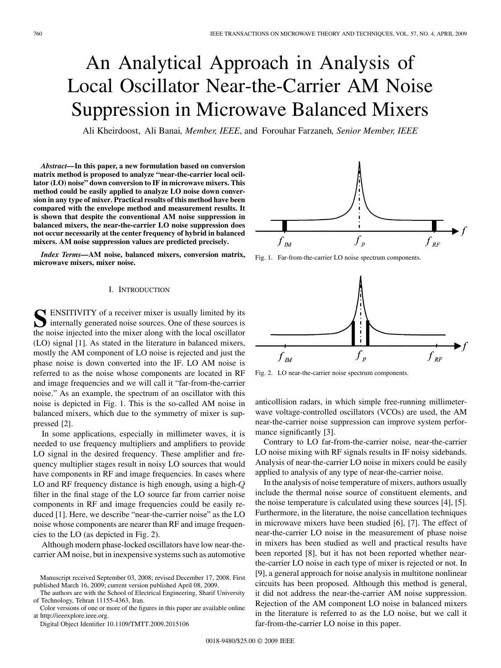# An Analytical Approach in Analysis of Local Oscillator Near-the-Carrier AM Noise Suppression in Microwave Balanced Mixers

Ali Kheirdoost, Ali Banai*, Member, IEEE*, and Forouhar Farzaneh*, Senior Member, IEEE*

*Abstract—***In this paper, a new formulation based on conversion matrix method is proposed to analyze "near-the-carrier local ocillator (LO) noise" down conversion to IF in microwave mixers. This method could be easily applied to analyze LO noise down conversion in any type of mixer. Practical results of this method have been compared with the envelope method and measurement results. It is shown that despite the conventional AM noise suppression in balanced mixers, the near-the-carrier LO noise suppression does not occur necessarily at the center frequency of hybrid in balanced mixers. AM noise suppression values are predicted precisely.**

*Index Terms—***AM noise, balanced mixers, conversion matrix, microwave mixers, mixer noise.**

### I. INTRODUCTION

**S** ENSITIVITY of a receiver mixer is usually limited by its internally generated noise sources. One of these sources is the noise injected into the mixer along with the local oscillator (LO) signal [1]. As stated in the literature in balanced mixers, mostly the AM component of LO noise is rejected and just the phase noise is down converted into the IF. LO AM noise is referred to as the noise whose components are located in RF and image frequencies and we will call it "far-from-the-carrier noise." As an example, the spectrum of an oscillator with this noise is depicted in Fig. 1. This is the so-called AM noise in balanced mixers, which due to the symmetry of mixer is suppressed [2].

In some applications, especially in millimeter waves, it is needed to use frequency multipliers and amplifiers to provide LO signal in the desired frequency. These amplifier and frequency multiplier stages result in noisy LO sources that would have components in RF and image frequencies. In cases where LO and RF frequency distance is high enough, using a high- $Q$ filter in the final stage of the LO source far from carrier noise components in RF and image frequencies could be easily reduced [1]. Here, we describe "near-the-carrier noise" as the LO noise whose components are nearer than RF and image frequencies to the LO (as depicted in Fig. 2).

Although modern phase-locked oscillators have low near-thecarrier AM noise, but in inexpensive systems such as automotive



Fig. 1. Far-from-the-carrier LO noise spectrum components.



Fig. 2. LO near-the-carrier noise spectrum components.

anticollision radars, in which simple free-running millimeterwave voltage-controlled oscillators (VCOs) are used, the AM near-the-carrier noise suppression can improve system performance significantly [3].

Contrary to LO far-from-the-carrier noise, near-the-carrier LO noise mixing with RF signals results in IF noisy sidebands. Analysis of near-the-carrier LO noise in mixers could be easily applied to analysis of any type of near-the-carrier noise.

In the analysis of noise temperature of mixers, authors usually include the thermal noise source of constituent elements, and the noise temperature is calculated using these sources [4], [5]. Furthermore, in the literature, the noise cancellation techniques in microwave mixers have been studied [6], [7]. The effect of near-the-carrier LO noise in the measurement of phase noise in mixers has been studied as well and practical results have been reported [8], but it has not been reported whether nearthe-carrier LO noise in each type of mixer is rejected or not. In [9], a general approach for noise analysis in multitone nonlinear circuits has been proposed. Although this method is general, it did not address the near-the-carrier AM noise suppression. Rejection of the AM component LO noise in balanced mixers in the literature is referred to as the LO noise, but we call it far-from-the-carrier LO noise in this paper.

Manuscript received September 03, 2008; revised December 17, 2008. First published March 16, 2009; current version published April 08, 2009.

The authors are with the School of Electrical Engineering, Sharif University of Technology, Tehran 11155-4363, Iran.

Color versions of one or more of the figures in this paper are available online at http://ieeexplore.ieee.org.

Digital Object Identifier 10.1109/TMTT.2009.2015106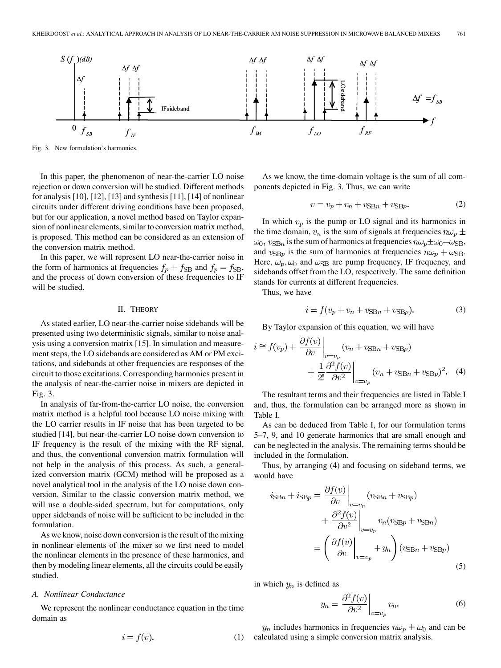

Fig. 3. New formulation's harmonics.

In this paper, the phenomenon of near-the-carrier LO noise rejection or down conversion will be studied. Different methods for analysis [10], [12], [13] and synthesis [11], [14] of nonlinear circuits under different driving conditions have been proposed, but for our application, a novel method based on Taylor expansion of nonlinear elements, similar to conversion matrix method, is proposed. This method can be considered as an extension of the conversion matrix method.

In this paper, we will represent LO near-the-carrier noise in the form of harmonics at frequencies  $f_p + f_{SB}$  and  $f_p - f_{SB}$ , and the process of down conversion of these frequencies to IF will be studied.

## II. THEORY

As stated earlier, LO near-the-carrier noise sidebands will be presented using two deterministic signals, similar to noise analysis using a conversion matrix [15]. In simulation and measurement steps, the LO sidebands are considered as AM or PM excitations, and sidebands at other frequencies are responses of the circuit to those excitations. Corresponding harmonics present in the analysis of near-the-carrier noise in mixers are depicted in Fig. 3.

In analysis of far-from-the-carrier LO noise, the conversion matrix method is a helpful tool because LO noise mixing with the LO carrier results in IF noise that has been targeted to be studied [14], but near-the-carrier LO noise down conversion to IF frequency is the result of the mixing with the RF signal, and thus, the conventional conversion matrix formulation will not help in the analysis of this process. As such, a generalized conversion matrix (GCM) method will be proposed as a novel analytical tool in the analysis of the LO noise down conversion. Similar to the classic conversion matrix method, we will use a double-sided spectrum, but for computations, only upper sidebands of noise will be sufficient to be included in the formulation.

As we know, noise down conversion is the result of the mixing in nonlinear elements of the mixer so we first need to model the nonlinear elements in the presence of these harmonics, and then by modeling linear elements, all the circuits could be easily studied.

## *A. Nonlinear Conductance*

We represent the nonlinear conductance equation in the time domain as

$$
i = f(v). \tag{1}
$$

As we know, the time-domain voltage is the sum of all components depicted in Fig. 3. Thus, we can write

$$
v = v_p + v_n + v_{\text{SB}n} + v_{\text{SB}p}.
$$
 (2)

In which  $v_p$  is the pump or LO signal and its harmonics in the time domain,  $v_n$  is the sum of signals at frequencies  $n\omega_p \pm$  $\omega_0$ ,  $v_{\text{SB}}$  is the sum of harmonics at frequencies  $n\omega_p \pm \omega_0 + \omega_{\text{SB}}$ , and  $v_{\text{SB}p}$  is the sum of harmonics at frequencies  $n\omega_p + \omega_{\text{SB}}$ . Here,  $\omega_p$ ,  $\omega_0$  and  $\omega_{\text{SB}}$  are pump frequency, IF frequency, and sidebands offset from the LO, respectively. The same definition stands for currents at different frequencies.

Thus, we have

$$
i = f(v_p + v_n + v_{\text{SB}n} + v_{\text{SB}p}).\tag{3}
$$

By Taylor expansion of this equation, we will have

$$
i \approx f(v_p) + \frac{\partial f(v)}{\partial v}\Big|_{v=v_p} (v_n + v_{\text{SB}n} + v_{\text{SB}p}) + \frac{1}{2!} \frac{\partial^2 f(v)}{\partial v^2}\Big|_{v=v_p} (v_n + v_{\text{SB}n} + v_{\text{SB}p})^2.
$$
 (4)

The resultant terms and their frequencies are listed in Table I and, thus, the formulation can be arranged more as shown in Table I.

As can be deduced from Table I, for our formulation terms 5–7, 9, and 10 generate harmonics that are small enough and can be neglected in the analysis. The remaining terms should be included in the formulation.

Thus, by arranging (4) and focusing on sideband terms, we would have

$$
i_{\text{SB}n} + i_{\text{SB}p} = \frac{\partial f(v)}{\partial v}\Big|_{v=v_p} (v_{\text{SB}n} + v_{\text{SB}p}) + \frac{\partial^2 f(v)}{\partial v^2}\Big|_{v=v_p} v_n (v_{\text{SB}p} + v_{\text{SB}n}) = \left(\frac{\partial f(v)}{\partial v}\Big|_{v=v_p} + y_n\right) (v_{\text{SB}n} + v_{\text{SB}p})
$$
\n(5)

in which  $y_n$  is defined as

$$
y_n = \frac{\partial^2 f(v)}{\partial v^2}\bigg|_{v=v_p} v_n.
$$
 (6)

 $y_n$  includes harmonics in frequencies  $n\omega_p \pm \omega_0$  and can be calculated using a simple conversion matrix analysis.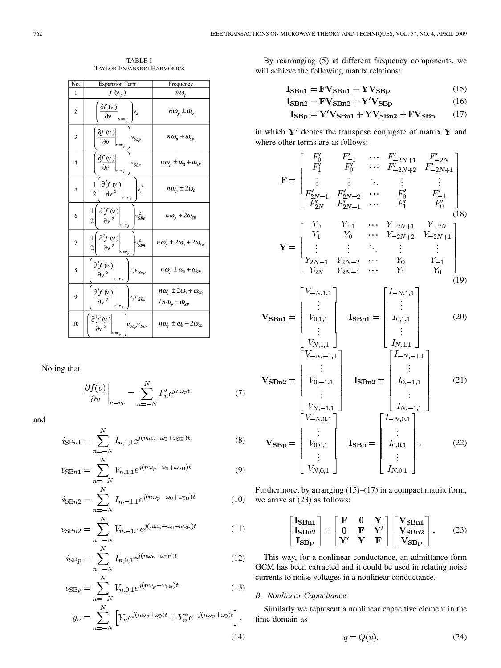| No.            | <b>Expansion Term</b>                                                                                                                    | Frequency                                                               |
|----------------|------------------------------------------------------------------------------------------------------------------------------------------|-------------------------------------------------------------------------|
| 1              | $f(\nu_p)$                                                                                                                               | $n\omega_p$                                                             |
| $\overline{2}$ | $\frac{\partial f(v)}{\partial v}\Big _{v \Rightarrow_p}$<br>$v_n$                                                                       | $n\omega_{p} \pm \omega_{0}$                                            |
| 3              | $\frac{\partial f(v)}{\partial v}\Bigg _{v=v_p}$<br>$v_{\mathit{SBp}}$                                                                   | $n\omega_{p}+\omega_{\scriptscriptstyle SB}$                            |
| 4              | $\left.\frac{\partial f\left(\boldsymbol{v}\,\right)}{\partial\boldsymbol{v}}\right _{\boldsymbol{v}=\boldsymbol{v}_{p}}$<br>$ v_{SBn} $ | $n\omega_p \pm \omega_0 + \omega_{\scriptscriptstyle SB}$               |
| 5              | $\frac{1}{2} \left[ \frac{\partial^2 f(\mathbf{v})}{\partial \mathbf{v}^2} \right]$<br>$v_n^2$                                           | n $\omega_p \pm 2\omega_0$                                              |
| 6              | $\frac{1}{2} \left( \frac{\partial^2 f(\mathbf{v})}{\partial \mathbf{v}^2} \right)_{\mathbf{v} = \mathbf{v}_p}$<br>$v_{SBP}^2$           | $n\omega_p + 2\omega_{SB}$                                              |
| 7              | $\frac{1}{2} \left  \frac{\partial^2 f(\psi)}{\partial v^2} \right $<br>$v_{SBn}^2$                                                      | $n\omega_p \pm 2\omega_0 + 2\omega_{SB}$                                |
| 8              | $\frac{\partial^2 f(\mathbf{v})}{\partial \mathbf{v}^2}$<br>$v_n v_{SBp}$                                                                | $n\omega_p \pm \omega_0 + \omega_{SB}$                                  |
| 9              | $\frac{\partial^2 f(\mathbf{v})}{\partial \mathbf{v}^2}$<br>$v_n v_{SBn}$                                                                | $n\omega_p \pm 2\omega_0 + \omega_{SB}$<br>$/ n \omega_p + \omega_{SB}$ |
| 10             | $\frac{\partial^2 f(\mathbf{v})}{\partial \mathbf{v}^2}$<br>$v_{SBp}v_{SBn}$                                                             | $n\omega_p \pm \omega_0 + 2\omega_{SB}$                                 |

TABLE I TAYLOR EXPANSION HARMONICS

Noting that

$$
\frac{\partial f(v)}{\partial v}\bigg|_{v=v_p} = \sum_{n=-N}^{N} F'_n e^{jn\omega_p t} \tag{7}
$$

and

$$
i_{\text{SB}n1} = \sum_{n=-N}^{N} I_{n,1,1} e^{j(n\omega_p + \omega_0 + \omega_{\text{SB}})t}
$$
(8)

$$
v_{\rm SBn1} = \sum_{n=-N}^{N} V_{n,1,1} e^{j(n\omega_p + \omega_0 + \omega_{\rm SB})t}
$$
(9)

$$
i_{\text{SB}n2} = \sum_{n=-N}^{N} I_{n,-1,1} e^{j(n\omega_p - \omega_0 + \omega_{\text{SB}})t}
$$
 (10)

$$
v_{\rm SBn2} = \sum_{n=-N}^{N} V_{n,-1,1} e^{j(n\omega_p - \omega_0 + \omega_{\rm SB})t}
$$
 (11)

$$
i_{\text{SB}p} = \sum_{n=-N}^{N} I_{n,0,1} e^{j(n\omega_p + \omega_{\text{SB}})t}
$$
 (12)

$$
v_{\rm SBp} = \sum_{n=-N}^{N} V_{n,0,1} e^{j(n\omega_p + \omega_{\rm SB})t}
$$
 (13)

$$
y_n = \sum_{n=-N}^{N} \left[ Y_n e^{j(n\omega_p + \omega_0)t} + Y_n^* e^{-j(n\omega_p + \omega_0)t} \right].
$$
\n(14)

By rearranging (5) at different frequency components, we will achieve the following matrix relations:

$$
I_{\rm SBn1} = \rm FV_{\rm SBn1} + \rm YV_{\rm SBp} \tag{15}
$$

$$
I_{\rm SBn2} = \rm FV_{\rm SBn2} + Y'V_{\rm SBp}
$$
 (16)

$$
I_{\rm SBp} = Y'V_{\rm SBn1} + YV_{\rm SBn2} + FV_{\rm SBp} \qquad (17)
$$

in which  $Y'$  deotes the transpose conjugate of matrix  $Y$  and where other terms are as follows:

$$
\mathbf{F} = \begin{bmatrix}\nF_0' & F_{-1}' & \cdots & F_{-2N+1}' & F_{-2N}' \\
F_1' & F_0' & \cdots & F_{-2N+2}' & F_{-2N+1}' \\
\vdots & \vdots & \ddots & \vdots & \vdots \\
F_{2N-1}' & F_{2N-2}' & \cdots & F_0' & F_{-1}' \\
F_{2N}' & F_{2N-1}' & \cdots & F_1' & F_0' \\
\vdots & \vdots & \ddots & \vdots & \vdots \\
Y_1 & Y_0 & \cdots & Y_{-2N+1} & Y_{-2N} \\
\vdots & \vdots & \ddots & \vdots & \vdots \\
Y_{2N-1} & Y_{2N-2} & \cdots & Y_0 & Y_{-1} \\
Y_{2N-1} & Y_{2N-2} & \cdots & Y_0 & Y_{-1} \\
Y_{2N} & Y_{2N-1} & \cdots & Y_1 & Y_0\n\end{bmatrix}
$$
\n
$$
\mathbf{V}_{\mathbf{S}\mathbf{B}\mathbf{n}} = \begin{bmatrix}\nV_{-N,1,1} \\
\vdots \\
V_{0,1,1} \\
\vdots \\
V_{N,1,1}\n\end{bmatrix}\n\quad\n\mathbf{I}_{\mathbf{S}\mathbf{B}\mathbf{n}} = \begin{bmatrix}\nI_{-N,1,1} \\
I_{0,1,1} \\
I_{0,1,1} \\
\vdots \\
I_{N,1,1}\n\end{bmatrix}
$$
\n
$$
\mathbf{V}_{\mathbf{S}\mathbf{B}\mathbf{n}} = \begin{bmatrix}\nI_{-N,-1,1} \\
I_{-N,-1,1} \\
\vdots \\
I_{0,-1,1}\n\end{bmatrix}
$$
\n
$$
\mathbf{V}_{\mathbf{S}\mathbf{B}\mathbf{n}} = \begin{bmatrix}\nI_{-N,-1,1} \\
I_{-N,-1,1} \\
\vdots \\
I_{0,-1,1}\n\end{bmatrix}
$$
\n
$$
(21)
$$

$$
\mathbf{V}_{\mathbf{S}} = \begin{bmatrix} V_{0,-1,1} \\ \vdots \\ V_{N,-1,1} \end{bmatrix} \quad \mathbf{I}_{\mathbf{S}} = \begin{bmatrix} I_{-N,0,1} \\ \vdots \\ I_{N,-1,1} \end{bmatrix}
$$

$$
\mathbf{V}_{\mathbf{S}} = \begin{bmatrix} V_{-N,0,1} \\ \vdots \\ V_{0,0,1} \\ \vdots \\ V_{N,0,1} \end{bmatrix} \quad \mathbf{I}_{\mathbf{S}} = \begin{bmatrix} I_{-N,0,1} \\ \vdots \\ I_{0,0,1} \\ \vdots \\ I_{N,0,1} \end{bmatrix} . \tag{22}
$$

(10) we arrive at (23) as follows: Furthermore, by arranging (15)–(17) in a compact matrix form,

$$
\begin{bmatrix} \mathbf{I}_{\text{SBn1}} \\ \mathbf{I}_{\text{SBn2}} \\ \mathbf{I}_{\text{SBp}} \end{bmatrix} = \begin{bmatrix} \mathbf{F} & \mathbf{0} & \mathbf{Y} \\ \mathbf{0} & \mathbf{F} & \mathbf{Y}' \\ \mathbf{Y}' & \mathbf{Y} & \mathbf{F} \end{bmatrix} \begin{bmatrix} \mathbf{V}_{\text{SBn1}} \\ \mathbf{V}_{\text{SBn2}} \\ \mathbf{V}_{\text{SBp}} \end{bmatrix} . \tag{23}
$$

This way, for a nonlinear conductance, an admittance form GCM has been extracted and it could be used in relating noise currents to noise voltages in a nonlinear conductance.

# *B. Nonlinear Capacitance*

Similarly we represent a nonlinear capacitive element in the time domain as

$$
q = Q(v). \tag{24}
$$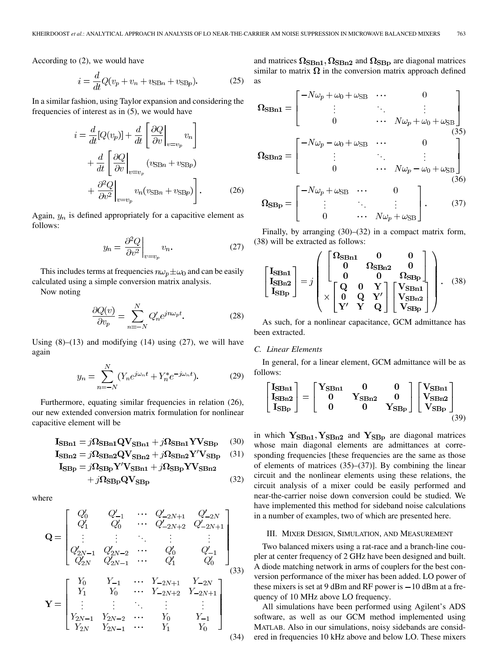According to (2), we would have

$$
i = \frac{d}{dt}Q(v_p + v_n + v_{\text{SB}n} + v_{\text{SB}p}).
$$
 (25)

In a similar fashion, using Taylor expansion and considering the frequencies of interest as in (5), we would have

$$
i = \frac{d}{dt}[Q(v_p)] + \frac{d}{dt} \left[ \frac{\partial Q}{\partial v} \Big|_{v=v_p} v_n \right]
$$

$$
+ \frac{d}{dt} \left[ \frac{\partial Q}{\partial v} \Big|_{v=v_p} (v_{\text{SB}n} + v_{\text{SB}p})
$$

$$
+ \frac{\partial^2 Q}{\partial v^2} \Big|_{v=v_p} v_n (v_{\text{SB}n} + v_{\text{SB}p}) \right].
$$
(26)

Again,  $y_n$  is defined appropriately for a capacitive element as follows:

$$
y_n = \left. \frac{\partial^2 Q}{\partial v^2} \right|_{v = v_p} v_n. \tag{27}
$$

This includes terms at frequencies  $n\omega_p \pm \omega_0$  and can be easily calculated using a simple conversion matrix analysis.

Now noting

$$
\frac{\partial Q(v)}{\partial v_p} = \sum_{n=-N}^{N} Q'_n e^{jn\omega_p t}.
$$
 (28)

Using  $(8)$ – $(13)$  and modifying  $(14)$  using  $(27)$ , we will have again

$$
y_n = \sum_{n=-N}^{N} (Y_n e^{j\omega_n t} + Y_n^* e^{-j\omega_n t}).
$$
 (29)

Furthermore, equating similar frequencies in relation (26), our new extended conversion matrix formulation for nonlinear capacitive element will be

$$
I_{\text{SBn1}} = j\Omega_{\text{SBn1}}QV_{\text{SBn1}} + j\Omega_{\text{SBn1}}YV_{\text{SBp}} \quad (30)
$$

$$
I_{\rm SBn2} = j\Omega_{\rm SBn2}QV_{\rm SBn2} + j\Omega_{\rm SBn2}Y'V_{\rm SBp} \quad (31)
$$

$$
\mathbf{I}_{\mathbf{S}\mathbf{B}\mathbf{p}} = j\mathbf{\Omega}_{\mathbf{S}\mathbf{B}\mathbf{p}} \mathbf{Y}'\mathbf{V}_{\mathbf{S}\mathbf{B}\mathbf{n}\mathbf{1}} + j\mathbf{\Omega}_{\mathbf{S}\mathbf{B}\mathbf{p}} \mathbf{Y}\mathbf{V}_{\mathbf{S}\mathbf{B}\mathbf{n}\mathbf{2}}
$$

$$
+j\Omega_{\rm SBp}\text{QV}_{\rm SBp} \tag{32}
$$

where

$$
\mathbf{Q} = \begin{bmatrix} Q_0' & Q_{-1}' & \cdots & Q_{-2N+1}' & Q_{-2N}' \\ Q_1' & Q_0' & \cdots & Q_{-2N+2}' & Q_{-2N+1}' \\ \vdots & \vdots & \ddots & \vdots & \vdots \\ Q_{2N-1}' & Q_{2N-2}' & \cdots & Q_0' & Q_{-1}' \\ Q_{2N}' & Q_{2N-1}' & \cdots & Q_1' & Q_0' \end{bmatrix}
$$

$$
\mathbf{Y} = \begin{bmatrix} Y_0 & Y_{-1} & \cdots & Y_{-2N+1} & Y_{-2N} \\ Y_1 & Y_0 & \cdots & Y_{-2N+2} & Y_{-2N+1} \\ \vdots & \vdots & \ddots & \vdots & \vdots \\ Y_{2N-1} & Y_{2N-2} & \cdots & Y_0 & Y_{-1} \\ Y_{2N} & Y_{2N-1} & \cdots & Y_1 & Y_0 \end{bmatrix}
$$
(34)

and matrices  $\Omega_{\rm SBn1}, \Omega_{\rm SBn2}$  and  $\Omega_{\rm SBp}$  are diagonal matrices similar to matrix  $\Omega$  in the conversion matrix approach defined as

$$
\mathbf{\Omega}_{\mathbf{S}\mathbf{B}\mathbf{n}\mathbf{1}} = \begin{bmatrix}\n-N\omega_p + \omega_0 + \omega_{\mathbf{S}\mathbf{B}} & \cdots & 0 \\
\vdots & \ddots & \vdots \\
0 & \cdots & N\omega_p + \omega_0 + \omega_{\mathbf{S}\mathbf{B}} \\
\vdots & \ddots & \vdots \\
0 & \cdots & N\omega_p - \omega_0 + \omega_{\mathbf{S}\mathbf{B}}\n\end{bmatrix}
$$
\n
$$
\mathbf{\Omega}_{\mathbf{S}\mathbf{B}\mathbf{n}\mathbf{2}} = \begin{bmatrix}\n-N\omega_p - \omega_0 + \omega_{\mathbf{S}\mathbf{B}} & \cdots & 0 \\
\vdots & \ddots & \vdots \\
0 & \cdots & N\omega_p - \omega_0 + \omega_{\mathbf{S}\mathbf{B}}\n\end{bmatrix}
$$
\n
$$
\mathbf{\Omega}_{\mathbf{S}\mathbf{B}\mathbf{p}} = \begin{bmatrix}\n-N\omega_p + \omega_{\mathbf{S}\mathbf{B}} & \cdots & 0 \\
\vdots & \ddots & \vdots \\
0 & \cdots & N\omega_p + \omega_{\mathbf{S}\mathbf{B}}\n\end{bmatrix}.
$$
\n(37)

Finally, by arranging (30)–(32) in a compact matrix form, (38) will be extracted as follows:

$$
\begin{bmatrix}\nI_{\text{SBn1}} \\
I_{\text{SBn2}} \\
I_{\text{SBP}}\n\end{bmatrix} = j \begin{pmatrix}\n\begin{bmatrix}\n\Omega_{\text{SBn1}} & 0 & 0 \\
0 & \Omega_{\text{SBn2}} & 0 \\
0 & 0 & \Omega_{\text{SBp}} \\
\times \begin{bmatrix}\nQ & 0 & Y \\
0 & Q & Y' \\
Y' & Y & Q\n\end{bmatrix}\n\begin{bmatrix}\nV_{\text{SBn1}} \\
V_{\text{SBn2}} \\
V_{\text{SBp}}\n\end{bmatrix}\n\end{pmatrix}.
$$
\n(38)

As such, for a nonlinear capacitance, GCM admittance has been extracted.

# *C. Linear Elements*

In general, for a linear element, GCM admittance will be as follows:

$$
\begin{bmatrix}I_{\text{SBn1}}\\I_{\text{SBn2}}\\I_{\text{SBp}}\end{bmatrix}=\begin{bmatrix}Y_{\text{SBn1}}&0&0\\0&Y_{\text{SBn2}}&0\\0&0&Y_{\text{SBp}}\end{bmatrix}\begin{bmatrix}V_{\text{SBn1}}\\V_{\text{SBn2}}\\V_{\text{SBp}}\end{bmatrix}_{(39)}
$$

in which  $Y_{\rm SBn1}, Y_{\rm SBn2}$  and  $Y_{\rm SBp}$  are diagonal matrices whose main diagonal elements are admittances at corresponding frequencies [these frequencies are the same as those of elements of matrices (35)–(37)]. By combining the linear circuit and the nonlinear elements using these relations, the circuit analysis of a mixer could be easily performed and near-the-carrier noise down conversion could be studied. We have implemented this method for sideband noise calculations in a number of examples, two of which are presented here.

## III. MIXER DESIGN, SIMULATION, AND MEASUREMENT

Two balanced mixers using a rat-race and a branch-line coupler at center frequency of 2 GHz have been designed and built. A diode matching network in arms of couplers for the best conversion performance of the mixer has been added. LO power of these mixers is set at 9 dBm and RF power is  $-10$  dBm at a frequency of 10 MHz above LO frequency.

All simulations have been performed using Agilent's ADS software, as well as our GCM method implemented using MATLAB. Also in our simulations, noisy sidebands are considered in frequencies 10 kHz above and below LO. These mixers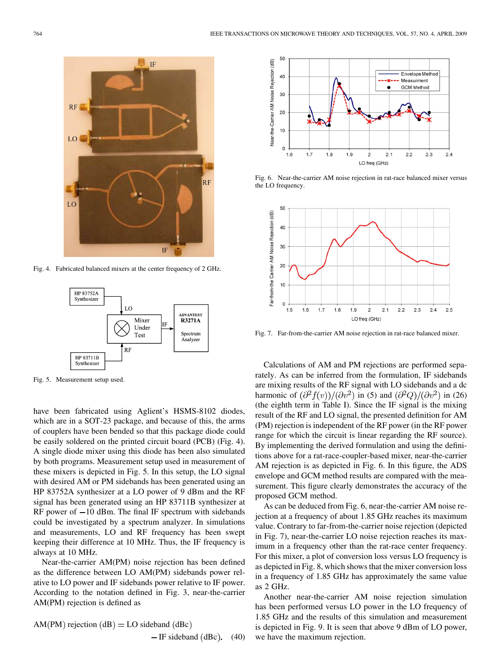

Fig. 4. Fabricated balanced mixers at the center frequency of 2 GHz.



Fig. 5. Measurement setup used.

have been fabricated using Aglient's HSMS-8102 diodes, which are in a SOT-23 package, and because of this, the arms of couplers have been bended so that this package diode could be easily soldered on the printed circuit board (PCB) (Fig. 4). A single diode mixer using this diode has been also simulated by both programs. Measurement setup used in measurement of these mixers is depicted in Fig. 5. In this setup, the LO signal with desired AM or PM sidebands has been generated using an HP 83752A synthesizer at a LO power of 9 dBm and the RF signal has been generated using an HP 83711B synthesizer at RF power of  $-10$  dBm. The final IF spectrum with sidebands could be investigated by a spectrum analyzer. In simulations and measurements, LO and RF frequency has been swept keeping their difference at 10 MHz. Thus, the IF frequency is always at 10 MHz.

Near-the-carrier AM(PM) noise rejection has been defined as the difference between LO AM(PM) sidebands power relative to LO power and IF sidebands power relative to IF power. According to the notation defined in Fig. 3, near-the-carrier AM(PM) rejection is defined as

$$
AM(PM) rejection (dB) = LO sideband (dBc) - IF sideband (dBc). (40)
$$



Fig. 6. Near-the-carrier AM noise rejection in rat-race balanced mixer versus the LO frequency.



Fig. 7. Far-from-the-carrier AM noise rejection in rat-race balanced mixer.

Calculations of AM and PM rejections are performed separately. As can be inferred from the formulation, IF sidebands are mixing results of the RF signal with LO sidebands and a dc harmonic of  $\left(\frac{\partial^2 f(v)}{\partial v^2}\right)$  in (5) and  $\left(\frac{\partial^2 Q}{\partial v^2}\right)$  in (26) (the eighth term in Table I). Since the IF signal is the mixing result of the RF and LO signal, the presented definition for AM (PM) rejection is independent of the RF power (in the RF power range for which the circuit is linear regarding the RF source). By implementing the derived formulation and using the definitions above for a rat-race-coupler-based mixer, near-the-carrier AM rejection is as depicted in Fig. 6. In this figure, the ADS envelope and GCM method results are compared with the measurement. This figure clearly demonstrates the accuracy of the proposed GCM method.

As can be deduced from Fig. 6, near-the-carrier AM noise rejection at a frequency of about 1.85 GHz reaches its maximum value. Contrary to far-from-the-carrier noise rejection (depicted in Fig. 7), near-the-carrier LO noise rejection reaches its maximum in a frequency other than the rat-race center frequency. For this mixer, a plot of conversion loss versus LO frequency is as depicted in Fig. 8, which shows that the mixer conversion loss in a frequency of 1.85 GHz has approximately the same value as 2 GHz.

Another near-the-carrier AM noise rejection simulation has been performed versus LO power in the LO frequency of 1.85 GHz and the results of this simulation and measurement is depicted in Fig. 9. It is seen that above 9 dBm of LO power, we have the maximum rejection.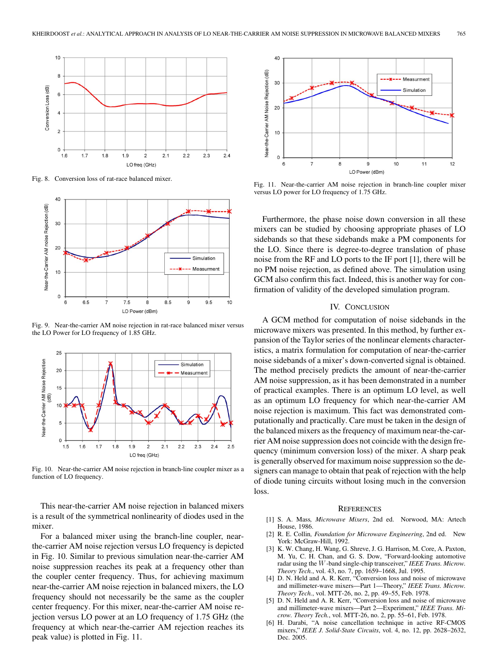

Fig. 8. Conversion loss of rat-race balanced mixer.



Fig. 9. Near-the-carrier AM noise rejection in rat-race balanced mixer versus the LO Power for LO frequency of 1.85 GHz.



Fig. 10. Near-the-carrier AM noise rejection in branch-line coupler mixer as a function of LO frequency.

This near-the-carrier AM noise rejection in balanced mixers is a result of the symmetrical nonlinearity of diodes used in the mixer.

For a balanced mixer using the branch-line coupler, nearthe-carrier AM noise rejection versus LO frequency is depicted in Fig. 10. Similar to previous simulation near-the-carrier AM noise suppression reaches its peak at a frequency other than the coupler center frequency. Thus, for achieving maximum near-the-carrier AM noise rejection in balanced mixers, the LO frequency should not necessarily be the same as the coupler center frequency. For this mixer, near-the-carrier AM noise rejection versus LO power at an LO frequency of 1.75 GHz (the frequency at which near-the-carrier AM rejection reaches its peak value) is plotted in Fig. 11.



Fig. 11. Near-the-carrier AM noise rejection in branch-line coupler mixer versus LO power for LO frequency of 1.75 GHz.

Furthermore, the phase noise down conversion in all these mixers can be studied by choosing appropriate phases of LO sidebands so that these sidebands make a PM components for the LO. Since there is degree-to-degree translation of phase noise from the RF and LO ports to the IF port [1], there will be no PM noise rejection, as defined above. The simulation using GCM also confirm this fact. Indeed, this is another way for confirmation of validity of the developed simulation program.

# IV. CONCLUSION

A GCM method for computation of noise sidebands in the microwave mixers was presented. In this method, by further expansion of the Taylor series of the nonlinear elements characteristics, a matrix formulation for computation of near-the-carrier noise sidebands of a mixer's down-converted signal is obtained. The method precisely predicts the amount of near-the-carrier AM noise suppression, as it has been demonstrated in a number of practical examples. There is an optimum LO level, as well as an optimum LO frequency for which near-the-carrier AM noise rejection is maximum. This fact was demonstrated computationally and practically. Care must be taken in the design of the balanced mixers as the frequency of maximum near-the-carrier AM noise suppression does not coincide with the design frequency (minimum conversion loss) of the mixer. A sharp peak is generally observed for maximum noise suppression so the designers can manage to obtain that peak of rejection with the help of diode tuning circuits without losing much in the conversion loss.

### **REFERENCES**

- [1] S. A. Mass*, Microwave Mixers*, 2nd ed. Norwood, MA: Artech House, 1986.
- [2] R. E. Collin*, Foundation for Microwave Engineering*, 2nd ed. New York: McGraw-Hill, 1992.
- [3] K. W. Chang, H. Wang, G. Shreve, J. G. Harrison, M. Core, A. Paxton, M. Yu, C. H. Chan, and G. S. Dow, "Forward-looking automotive radar using the W-band single-chip transceiver," *IEEE Trans. Microw. Theory Tech.*, vol. 43, no. 7, pp. 1659–1668, Jul. 1995.
- [4] D. N. Held and A. R. Kerr, "Conversion loss and noise of microwave and millimeter-wave mixers—Part 1—Theory," *IEEE Trans. Microw. Theory Tech.*, vol. MTT-26, no. 2, pp. 49–55, Feb. 1978.
- [5] D. N. Held and A. R. Kerr, "Conversion loss and noise of microwave and millimeter-wave mixers—Part 2—Experiment," *IEEE Trans. Microw. Theory Tech.*, vol. MTT-26, no. 2, pp. 55–61, Feb. 1978.
- [6] H. Darabi, "A noise cancellation technique in active RF-CMOS mixers," *IEEE J. Solid-State Circuits*, vol. 4, no. 12, pp. 2628–2632, Dec. 2005.